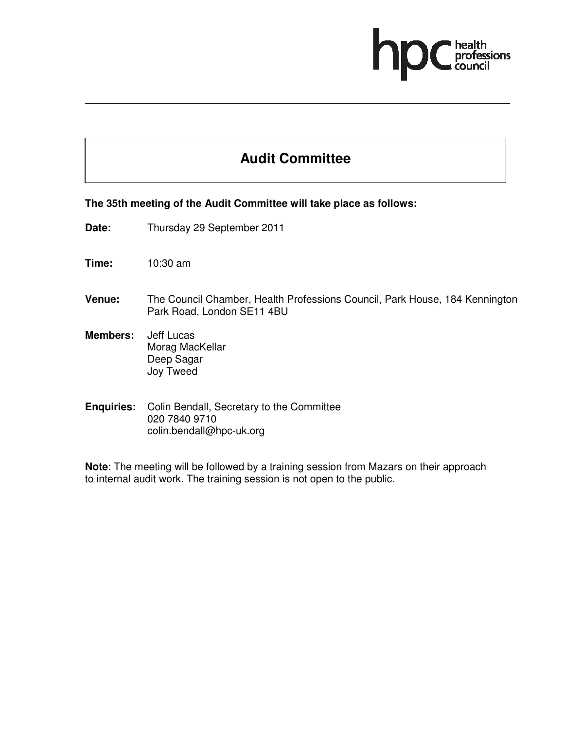# ofessions

## **Audit Committee**

#### **The 35th meeting of the Audit Committee will take place as follows:**

- **Date:** Thursday 29 September 2011
- **Time:** 10:30 am
- **Venue:** The Council Chamber, Health Professions Council, Park House, 184 Kennington Park Road, London SE11 4BU
- **Members:** Jeff Lucas Morag MacKellar Deep Sagar Joy Tweed
- **Enquiries:** Colin Bendall, Secretary to the Committee 020 7840 9710 colin.bendall@hpc-uk.org

**Note**: The meeting will be followed by a training session from Mazars on their approach to internal audit work. The training session is not open to the public.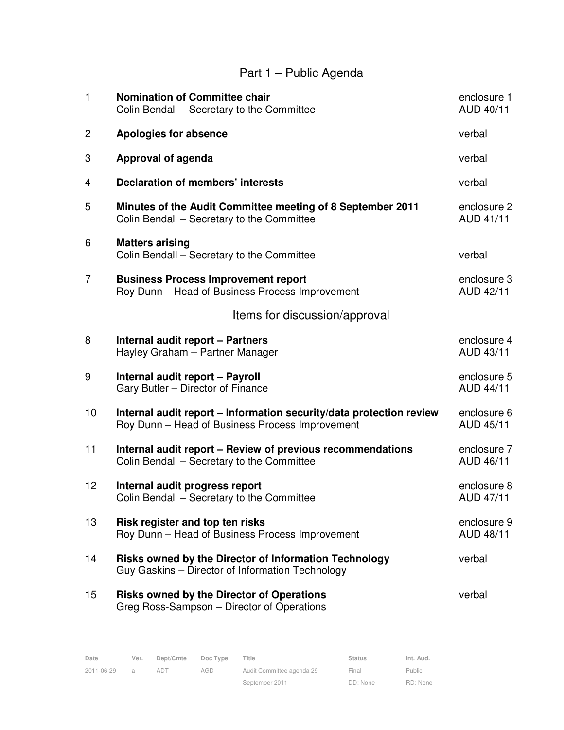# Part 1 – Public Agenda

| $\mathbf{1}$   | <b>Nomination of Committee chair</b><br>Colin Bendall – Secretary to the Committee                                     | enclosure 1<br>AUD 40/11        |
|----------------|------------------------------------------------------------------------------------------------------------------------|---------------------------------|
| $\overline{c}$ | <b>Apologies for absence</b>                                                                                           | verbal                          |
| 3              | <b>Approval of agenda</b>                                                                                              | verbal                          |
| 4              | <b>Declaration of members' interests</b>                                                                               | verbal                          |
| 5              | Minutes of the Audit Committee meeting of 8 September 2011<br>Colin Bendall - Secretary to the Committee               | enclosure 2<br>AUD 41/11        |
| 6              | <b>Matters arising</b><br>Colin Bendall – Secretary to the Committee                                                   | verbal                          |
| $\overline{7}$ | <b>Business Process Improvement report</b><br>Roy Dunn - Head of Business Process Improvement                          | enclosure 3<br>AUD 42/11        |
|                | Items for discussion/approval                                                                                          |                                 |
| 8              | <b>Internal audit report - Partners</b><br>Hayley Graham - Partner Manager                                             | enclosure 4<br>AUD 43/11        |
| 9              | Internal audit report - Payroll<br>Gary Butler - Director of Finance                                                   | enclosure 5<br><b>AUD 44/11</b> |
| 10             | Internal audit report - Information security/data protection review<br>Roy Dunn - Head of Business Process Improvement | enclosure 6<br>AUD 45/11        |
| 11             | Internal audit report - Review of previous recommendations<br>Colin Bendall - Secretary to the Committee               | enclosure 7<br>AUD 46/11        |
| 12             | Internal audit progress report<br>Colin Bendall - Secretary to the Committee                                           | enclosure 8<br>AUD 47/11        |
| 13             | Risk register and top ten risks<br>Roy Dunn - Head of Business Process Improvement                                     | enclosure 9<br>AUD 48/11        |
| 14             | Risks owned by the Director of Information Technology<br>Guy Gaskins - Director of Information Technology              | verbal                          |
| 15             | <b>Risks owned by the Director of Operations</b><br>Greg Ross-Sampson - Director of Operations                         | verbal                          |

| Date       | Ver.           | Dept/Cmte | Doc Type | Title                     | <b>Status</b> | Int. Aud. |
|------------|----------------|-----------|----------|---------------------------|---------------|-----------|
| 2011-06-29 | $\overline{a}$ | AD1       | AGD      | Audit Committee agenda 29 | Final         | Public    |
|            |                |           |          | September 2011            | DD: None      | RD: None  |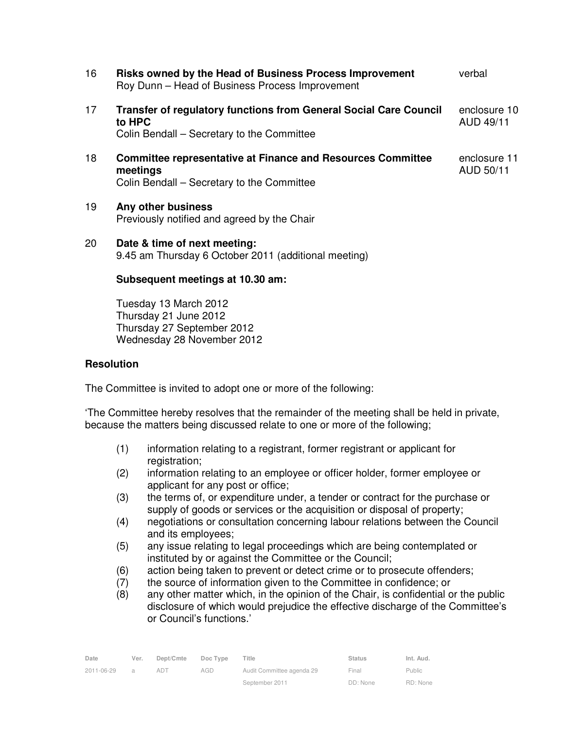| 16 | <b>Risks owned by the Head of Business Process Improvement</b><br>Roy Dunn - Head of Business Process Improvement                | verbal                    |
|----|----------------------------------------------------------------------------------------------------------------------------------|---------------------------|
| 17 | <b>Transfer of regulatory functions from General Social Care Council</b><br>to HPC<br>Colin Bendall – Secretary to the Committee | enclosure 10<br>AUD 49/11 |
| 18 | <b>Committee representative at Finance and Resources Committee</b><br>meetings<br>Colin Bendall – Secretary to the Committee     | enclosure 11<br>AUD 50/11 |
| 19 | Any other business<br>Previously notified and agreed by the Chair                                                                |                           |
| 20 | Date & time of next meeting:<br>9.45 am Thursday 6 October 2011 (additional meeting)                                             |                           |
|    | Subsequent meetings at 10.30 am:                                                                                                 |                           |

 Tuesday 13 March 2012 Thursday 21 June 2012 Thursday 27 September 2012 Wednesday 28 November 2012

### **Resolution**

The Committee is invited to adopt one or more of the following:

'The Committee hereby resolves that the remainder of the meeting shall be held in private, because the matters being discussed relate to one or more of the following;

- (1) information relating to a registrant, former registrant or applicant for registration;
- (2) information relating to an employee or officer holder, former employee or applicant for any post or office;
- (3) the terms of, or expenditure under, a tender or contract for the purchase or supply of goods or services or the acquisition or disposal of property;
- (4) negotiations or consultation concerning labour relations between the Council and its employees;
- (5) any issue relating to legal proceedings which are being contemplated or instituted by or against the Committee or the Council;
- (6) action being taken to prevent or detect crime or to prosecute offenders;
- (7) the source of information given to the Committee in confidence; or
- (8) any other matter which, in the opinion of the Chair, is confidential or the public disclosure of which would prejudice the effective discharge of the Committee's or Council's functions.'

| Date       | Ver. | Dept/Cmte | Doc Type | Title                     | <b>Status</b> | Int. Aud. |
|------------|------|-----------|----------|---------------------------|---------------|-----------|
| 2011-06-29 |      | ad i      | AGD      | Audit Committee agenda 29 | Final         | Public    |
|            |      |           |          | September 2011            | DD: None      | RD: None  |